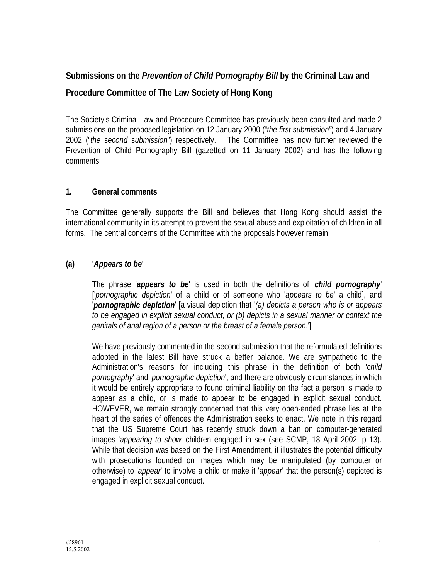# **Submissions on the** *Prevention of Child Pornography Bill* **by the Criminal Law and**

# **Procedure Committee of The Law Society of Hong Kong**

The Society's Criminal Law and Procedure Committee has previously been consulted and made 2 submissions on the proposed legislation on 12 January 2000 ("*the first submission*") and 4 January 2002 ("*the second submission*") respectively. The Committee has now further reviewed the Prevention of Child Pornography Bill (gazetted on 11 January 2002) and has the following comments:

### **1. General comments**

The Committee generally supports the Bill and believes that Hong Kong should assist the international community in its attempt to prevent the sexual abuse and exploitation of children in all forms. The central concerns of the Committee with the proposals however remain:

# **(a) '***Appears to be***'**

 The phrase '*appears to be*' is used in both the definitions of '*child pornography*' ['*pornographic depiction*' of a child or of someone who '*appears to be*' a child], and '*pornographic depiction*' [a visual depiction that '*(a) depicts a person who is or appears to be engaged in explicit sexual conduct; or (b) depicts in a sexual manner or context the genitals of anal region of a person or the breast of a female person*.']

 We have previously commented in the second submission that the reformulated definitions adopted in the latest Bill have struck a better balance. We are sympathetic to the Administration's reasons for including this phrase in the definition of both '*child pornography*' and '*pornographic depiction*', and there are obviously circumstances in which it would be entirely appropriate to found criminal liability on the fact a person is made to appear as a child, or is made to appear to be engaged in explicit sexual conduct. HOWEVER, we remain strongly concerned that this very open-ended phrase lies at the heart of the series of offences the Administration seeks to enact. We note in this regard that the US Supreme Court has recently struck down a ban on computer-generated images '*appearing to show*' children engaged in sex (see SCMP, 18 April 2002, p 13). While that decision was based on the First Amendment, it illustrates the potential difficulty with prosecutions founded on images which may be manipulated (by computer or otherwise) to '*appear*' to involve a child or make it '*appear*' that the person(s) depicted is engaged in explicit sexual conduct.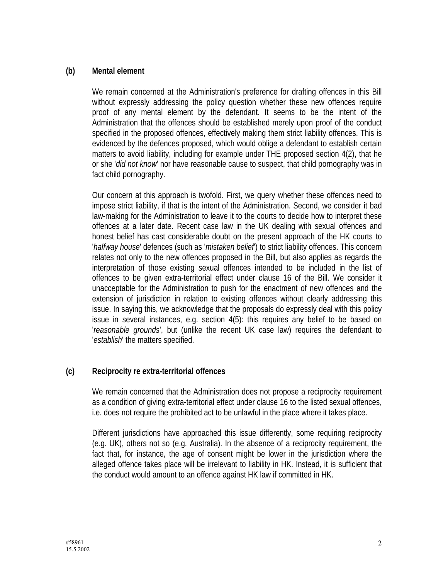### **(b) Mental element**

 We remain concerned at the Administration's preference for drafting offences in this Bill without expressly addressing the policy question whether these new offences require proof of any mental element by the defendant. It seems to be the intent of the Administration that the offences should be established merely upon proof of the conduct specified in the proposed offences, effectively making them strict liability offences. This is evidenced by the defences proposed, which would oblige a defendant to establish certain matters to avoid liability, including for example under THE proposed section 4(2), that he or she '*did not know*' nor have reasonable cause to suspect, that child pornography was in fact child pornography.

 Our concern at this approach is twofold. First, we query whether these offences need to impose strict liability, if that is the intent of the Administration. Second, we consider it bad law-making for the Administration to leave it to the courts to decide how to interpret these offences at a later date. Recent case law in the UK dealing with sexual offences and honest belief has cast considerable doubt on the present approach of the HK courts to '*halfway house*' defences (such as '*mistaken belief*') to strict liability offences. This concern relates not only to the new offences proposed in the Bill, but also applies as regards the interpretation of those existing sexual offences intended to be included in the list of offences to be given extra-territorial effect under clause 16 of the Bill. We consider it unacceptable for the Administration to push for the enactment of new offences and the extension of jurisdiction in relation to existing offences without clearly addressing this issue. In saying this, we acknowledge that the proposals do expressly deal with this policy issue in several instances, e.g. section 4(5): this requires any belief to be based on '*reasonable grounds*', but (unlike the recent UK case law) requires the defendant to '*establish*' the matters specified.

## **(c) Reciprocity re extra-territorial offences**

 We remain concerned that the Administration does not propose a reciprocity requirement as a condition of giving extra-territorial effect under clause 16 to the listed sexual offences, i.e. does not require the prohibited act to be unlawful in the place where it takes place.

 Different jurisdictions have approached this issue differently, some requiring reciprocity (e.g. UK), others not so (e.g. Australia). In the absence of a reciprocity requirement, the fact that, for instance, the age of consent might be lower in the jurisdiction where the alleged offence takes place will be irrelevant to liability in HK. Instead, it is sufficient that the conduct would amount to an offence against HK law if committed in HK.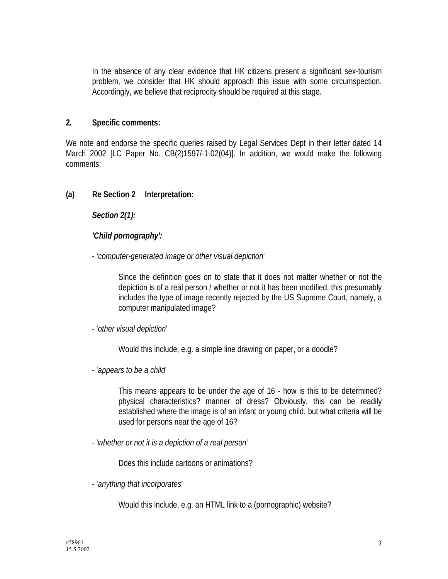In the absence of any clear evidence that HK citizens present a significant sex-tourism problem, we consider that HK should approach this issue with some circumspection. Accordingly, we believe that reciprocity should be required at this stage.

### **2. Specific comments:**

We note and endorse the specific queries raised by Legal Services Dept in their letter dated 14 March 2002 [LC Paper No. CB(2)1597/-1-02(04)]. In addition, we would make the following comments:

### **(a) Re Section 2 Interpretation:**

*Section 2(1):* 

## *'Child pornography':*

#### - '*computer-generated image or other visual depiction*'

Since the definition goes on to state that it does not matter whether or not the depiction is of a real person / whether or not it has been modified, this presumably includes the type of image recently rejected by the US Supreme Court, namely, a computer manipulated image?

#### - '*other visual depiction*'

Would this include, e.g. a simple line drawing on paper, or a doodle?

- '*appears to be a child*'

This means appears to be under the age of 16 - how is this to be determined? physical characteristics? manner of dress? Obviously, this can be readily established where the image is of an infant or young child, but what criteria will be used for persons near the age of 16?

- '*whether or not it is a depiction of a real person*'

Does this include cartoons or animations?

- '*anything that incorporates*'

Would this include, e.g. an HTML link to a (pornographic) website?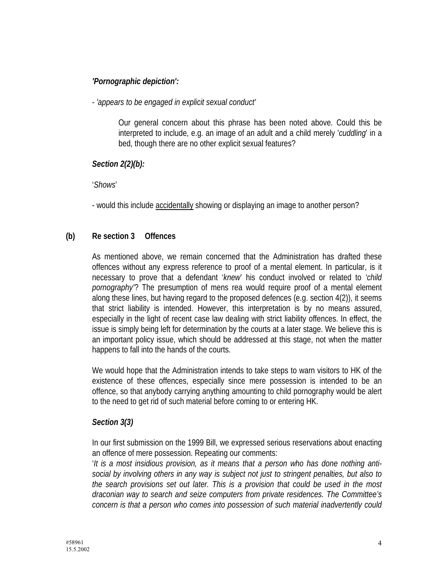# *'Pornographic depiction':*

### - *'appears to be engaged in explicit sexual conduct'*

Our general concern about this phrase has been noted above. Could this be interpreted to include, e.g. an image of an adult and a child merely '*cuddling*' in a bed, though there are no other explicit sexual features?

### *Section 2(2)(b):*

#### '*Shows*'

- would this include accidentally showing or displaying an image to another person?

## **(b) Re section 3 Offences**

As mentioned above, we remain concerned that the Administration has drafted these offences without any express reference to proof of a mental element. In particular, is it necessary to prove that a defendant '*knew*' his conduct involved or related to *'child pornography'*? The presumption of mens rea would require proof of a mental element along these lines, but having regard to the proposed defences (e.g. section 4(2)), it seems that strict liability is intended. However, this interpretation is by no means assured, especially in the light of recent case law dealing with strict liability offences. In effect, the issue is simply being left for determination by the courts at a later stage. We believe this is an important policy issue, which should be addressed at this stage, not when the matter happens to fall into the hands of the courts.

We would hope that the Administration intends to take steps to warn visitors to HK of the existence of these offences, especially since mere possession is intended to be an offence, so that anybody carrying anything amounting to child pornography would be alert to the need to get rid of such material before coming to or entering HK.

## *Section 3(3)*

In our first submission on the 1999 Bill, we expressed serious reservations about enacting an offence of mere possession. Repeating our comments:

'*It is a most insidious provision, as it means that a person who has done nothing antisocial by involving others in any way is subject not just to stringent penalties, but also to the search provisions set out later. This is a provision that could be used in the most draconian way to search and seize computers from private residences. The Committee's concern is that a person who comes into possession of such material inadvertently could*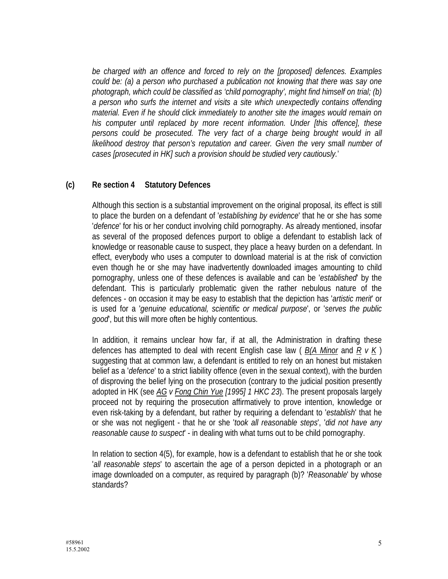*be charged with an offence and forced to rely on the [proposed] defences. Examples could be: (a) a person who purchased a publication not knowing that there was say one photograph, which could be classified as 'child pornography', might find himself on trial; (b) a person who surfs the internet and visits a site which unexpectedly contains offending material. Even if he should click immediately to another site the images would remain on his computer until replaced by more recent information. Under [this offence], these*  persons could be prosecuted. The very fact of a charge being brought would in all *likelihood destroy that person's reputation and career. Given the very small number of cases [prosecuted in HK] such a provision should be studied very cautiously.*'

#### **(c) Re section 4 Statutory Defences**

Although this section is a substantial improvement on the original proposal, its effect is still to place the burden on a defendant of '*establishing by evidence*' that he or she has some '*defence*' for his or her conduct involving child pornography. As already mentioned, insofar as several of the proposed defences purport to oblige a defendant to establish lack of knowledge or reasonable cause to suspect, they place a heavy burden on a defendant. In effect, everybody who uses a computer to download material is at the risk of conviction even though he or she may have inadvertently downloaded images amounting to child pornography, unless one of these defences is available and can be '*established*' by the defendant. This is particularly problematic given the rather nebulous nature of the defences - on occasion it may be easy to establish that the depiction has '*artistic merit*' or is used for a '*genuine educational, scientific or medical purpose*', or '*serves the public good*', but this will more often be highly contentious.

In addition, it remains unclear how far, if at all, the Administration in drafting these defences has attempted to deal with recent English case law ( *B(A Minor* and *R v K* ) suggesting that at common law, a defendant is entitled to rely on an honest but mistaken belief as a '*defence*' to a strict liability offence (even in the sexual context), with the burden of disproving the belief lying on the prosecution (contrary to the judicial position presently adopted in HK (see *AG v Fong Chin Yue [1995] 1 HKC 23*). The present proposals largely proceed not by requiring the prosecution affirmatively to prove intention, knowledge or even risk-taking by a defendant, but rather by requiring a defendant to '*establish*' that he or she was not negligent - that he or she '*took all reasonable steps*', '*did not have any reasonable cause to suspect*' - in dealing with what turns out to be child pornography.

In relation to section 4(5), for example, how is a defendant to establish that he or she took '*all reasonable steps*' to ascertain the age of a person depicted in a photograph or an image downloaded on a computer, as required by paragraph (b)? '*Reasonable*' by whose standards?